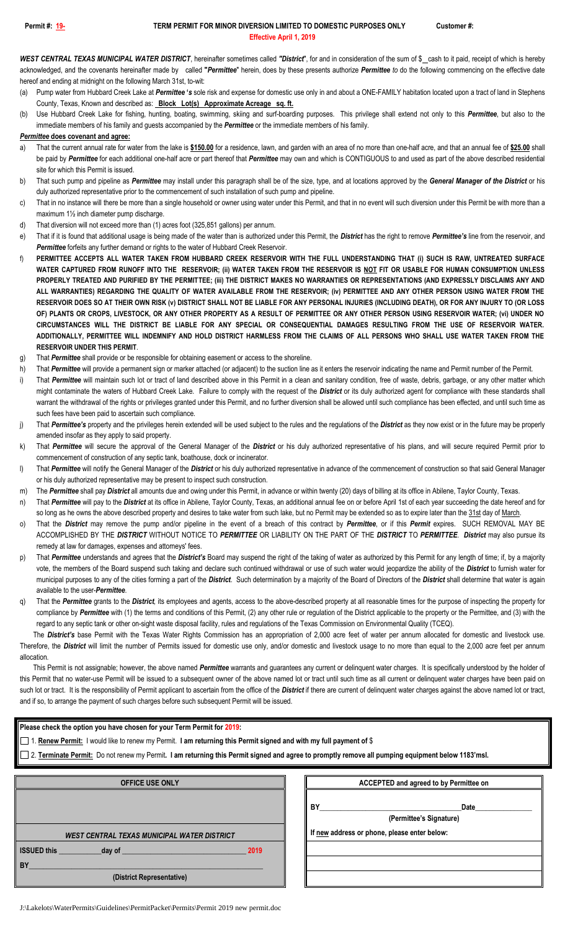## **Permit #: 19- TERM PERMIT FOR MINOR DIVERSION LIMITED TO DOMESTIC PURPOSES ONLY Customer #: Effective April 1, 2019**

WEST CENTRAL TEXAS MUNICIPAL WATER DISTRICT, hereinafter sometimes called "District", for and in consideration of the sum of \$\_cash to it paid, receipt of which is hereby acknowledged, and the covenants hereinafter made by called **"***Permittee*" herein, does by these presents authorize *Permittee to* do the following commencing on the effective date hereof and ending at midnight on the following March 31st, to-wit:

Pump water from Hubbard Creek Lake at *Permittee* 's sole risk and expense for domestic use only in and about a ONE-FAMILY habitation located upon a tract of land in Stephens County, Texas, Known and described as: **Block Lot(s) Approximate Acreage sq. ft.**

(b) Use Hubbard Creek Lake for fishing, hunting, boating, swimming, skiing and surf-boarding purposes. This privilege shall extend not only to this *Permittee*, but also to the immediate members of his family and guests accompanied by the *Permittee* or the immediate members of his family.

## *Permittee* **does covenant and agree:**

- a) That the current annual rate for water from the lake is **\$150.00** for a residence, lawn, and garden with an area of no more than one-half acre, and that an annual fee of **\$25.00** shall be paid by *Permittee* for each additional one-half acre or part thereof that *Permittee* may own and which is CONTIGUOUS to and used as part of the above described residential site for which this Permit is issued.
- b) That such pump and pipeline as *Permittee* may install under this paragraph shall be of the size, type, and at locations approved by the *General Manager of the District* or his duly authorized representative prior to the commencement of such installation of such pump and pipeline.
- c) That in no instance will there be more than a single household or owner using water under this Permit, and that in no event will such diversion under this Permit be with more than a maximum 1<sup>1</sup>/<sub>2</sub> inch diameter pump discharge.
- d) That diversion will not exceed more than (1) acres foot (325,851 gallons) per annum.
- e) That if it is found that additional usage is being made of the water than is authorized under this Permit, the *District* has the right to remove *Permittee's* line from the reservoir, and **Permittee** forfeits any further demand or rights to the water of Hubbard Creek Reservoir.
- f) **PERMITTEE ACCEPTS ALL WATER TAKEN FROM HUBBARD CREEK RESERVOIR WITH THE FULL UNDERSTANDING THAT (i) SUCH IS RAW, UNTREATED SURFACE WATER CAPTURED FROM RUNOFF INTO THE RESERVOIR; (ii) WATER TAKEN FROM THE RESERVOIR IS NOT FIT OR USABLE FOR HUMAN CONSUMPTION UNLESS PROPERLY TREATED AND PURIFIED BY THE PERMITTEE; (iii) THE DISTRICT MAKES NO WARRANTIES OR REPRESENTATIONS (AND EXPRESSLY DISCLAIMS ANY AND ALL WARRANTIES) REGARDING THE QUALITY OF WATER AVAILABLE FROM THE RESERVOIR; (iv) PERMITTEE AND ANY OTHER PERSON USING WATER FROM THE RESERVOIR DOES SO AT THEIR OWN RISK (v) DISTRICT SHALL NOT BE LIABLE FOR ANY PERSONAL INJURIES (INCLUDING DEATH), OR FOR ANY INJURY TO (OR LOSS OF) PLANTS OR CROPS, LIVESTOCK, OR ANY OTHER PROPERTY AS A RESULT OF PERMITTEE OR ANY OTHER PERSON USING RESERVOIR WATER; (vi) UNDER NO CIRCUMSTANCES WILL THE DISTRICT BE LIABLE FOR ANY SPECIAL OR CONSEQUENTIAL DAMAGES RESULTING FROM THE USE OF RESERVOIR WATER. ADDITIONALLY, PERMITTEE WILL INDEMNIFY AND HOLD DISTRICT HARMLESS FROM THE CLAIMS OF ALL PERSONS WHO SHALL USE WATER TAKEN FROM THE RESERVOIR UNDER THIS PERMIT**.
- g) That *Permittee* shall provide or be responsible for obtaining easement or access to the shoreline.
- h) That **Permittee** will provide a permanent sign or marker attached (or adjacent) to the suction line as it enters the reservoir indicating the name and Permit number of the Permit.
- i) That Permittee will maintain such lot or tract of land described above in this Permit in a clean and sanitary condition, free of waste, debris, garbage, or any other matter which might contaminate the waters of Hubbard Creek Lake. Failure to comply with the request of the *District* or its duly authorized agent for compliance with these standards shall warrant the withdrawal of the rights or privileges granted under this Permit, and no further diversion shall be allowed until such compliance has been effected, and until such time as such fees have been paid to ascertain such compliance.
- j) That *Permittee's* property and the privileges herein extended will be used subject to the rules and the regulations of the *District* as they now exist or in the future may be properly amended insofar as they apply to said property.
- k) That *Permittee* will secure the approval of the General Manager of the *District* or his duly authorized representative of his plans, and will secure required Permit prior to commencement of construction of any septic tank, boathouse, dock or incinerator.
- l) That *Permittee* will notify the General Manager of the *District* or his duly authorized representative in advance of the commencement of construction so that said General Manager or his duly authorized representative may be present to inspect such construction.
- m) The *Permittee* shall pay *District* all amounts due and owing under this Permit, in advance or within twenty (20) days of billing at its office in Abilene, Taylor County, Texas.
- n) That Permittee will pay to the District at its office in Abilene, Taylor County, Texas, an additional annual fee on or before April 1st of each year succeeding the date hereof and for so long as he owns the above described property and desires to take water from such lake, but no Permit may be extended so as to expire later than the 31st day of March.
- o) That the *District* may remove the pump and/or pipeline in the event of a breach of this contract by *Permittee*, or if this *Permit* expires. SUCH REMOVAL MAY BE ACCOMPLISHED BY THE *DISTRICT* WITHOUT NOTICE TO *PERMITTEE* OR LIABILITY ON THE PART OF THE *DISTRICT* TO *PERMITTEE*. *District* may also pursue its remedy at law for damages, expenses and attorneys' fees.
- p) That *Permittee* understands and agrees that the *District's* Board may suspend the right of the taking of water as authorized by this Permit for any length of time; if, by a majority vote, the members of the Board suspend such taking and declare such continued withdrawal or use of such water would jeopardize the ability of the *District* to furnish water for municipal purposes to any of the cities forming a part of the *District*. Such determination by a majority of the Board of Directors of the *District* shall determine that water is again available to the user-*Permittee*.
- q) That the *Permittee* grants to the *District*, its employees and agents, access to the above-described property at all reasonable times for the purpose of inspecting the property for compliance by Permittee with (1) the terms and conditions of this Permit, (2) any other rule or regulation of the District applicable to the property or the Permittee, and (3) with the regard to any septic tank or other on-sight waste disposal facility, rules and regulations of the Texas Commission on Environmental Quality (TCEQ).

The **District's** base Permit with the Texas Water Rights Commission has an appropriation of 2,000 acre feet of water per annum allocated for domestic and livestock use. Therefore, the **District** will limit the number of Permits issued for domestic use only, and/or domestic and livestock usage to no more than equal to the 2,000 acre feet per annum allocation.

This Permit is not assignable; however, the above named *Permittee* warrants and guarantees any current or delinquent water charges. It is specifically understood by the holder of this Permit that no water-use Permit will be issued to a subsequent owner of the above named lot or tract until such time as all current or delinquent water charges have been paid on such lot or tract. It is the responsibility of Permit applicant to ascertain from the office of the *District* if there are current of delinquent water charges against the above named lot or tract, and if so, to arrange the payment of such charges before such subsequent Permit will be issued.

| Please check the option you have chosen for your Term Permit for 2019:                                                                                                                                                                                                  |                                              |
|-------------------------------------------------------------------------------------------------------------------------------------------------------------------------------------------------------------------------------------------------------------------------|----------------------------------------------|
| 1. Renew Permit: I would like to renew my Permit. I am returning this Permit signed and with my full payment of \$<br>2. Terminate Permit: Do not renew my Permit. I am returning this Permit signed and agree to promptly remove all pumping equipment below 1183'msl. |                                              |
|                                                                                                                                                                                                                                                                         |                                              |
|                                                                                                                                                                                                                                                                         | BY<br>Date<br>(Permittee's Signature)        |
| <b>WEST CENTRAL TEXAS MUNICIPAL WATER DISTRICT</b>                                                                                                                                                                                                                      | If new address or phone, please enter below: |
| <b>ISSUED this</b><br>2019<br>day of the control of the control of the control of the control of the control of the control of the control of the control of the control of the control of the control of the control of the control of the control of the c            |                                              |
| <b>BY</b>                                                                                                                                                                                                                                                               |                                              |
| (District Representative)                                                                                                                                                                                                                                               |                                              |